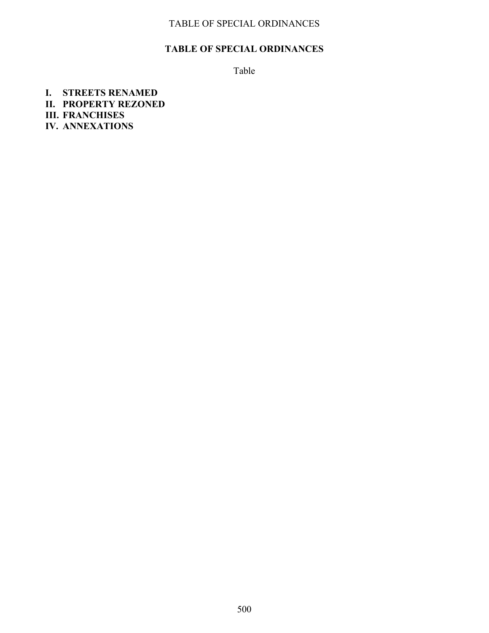#### **TABLE OF SPECIAL ORDINANCES**

Table

**I. STREETS RENAMED II. PROPERTY REZONED III. FRANCHISES IV. ANNEXATIONS**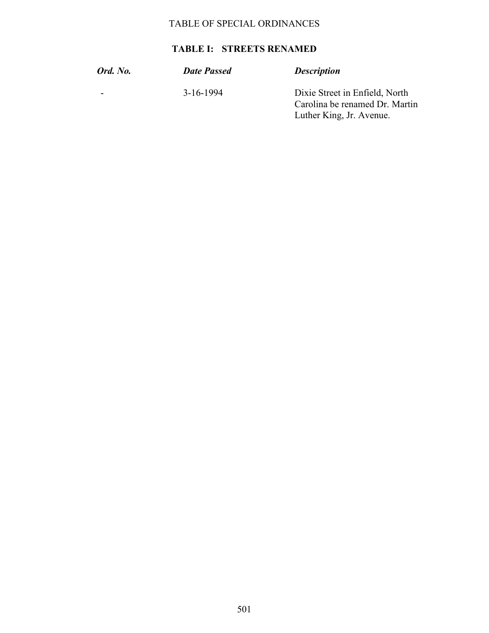### **TABLE I: STREETS RENAMED**

| <b>Ord.</b> No. | <b>Date Passed</b> | <b>Description</b>                                                                           |
|-----------------|--------------------|----------------------------------------------------------------------------------------------|
|                 | 3-16-1994          | Dixie Street in Enfield, North<br>Carolina be renamed Dr. Martin<br>Luther King, Jr. Avenue. |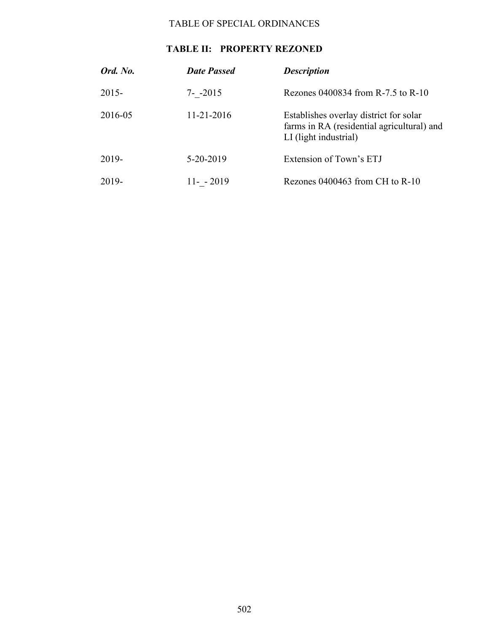### **TABLE II: PROPERTY REZONED**

| Ord. No. | <b>Date Passed</b> | <b>Description</b>                                                                                            |
|----------|--------------------|---------------------------------------------------------------------------------------------------------------|
| $2015 -$ | $7 - -2015$        | Rezones 0400834 from R-7.5 to R-10                                                                            |
| 2016-05  | 11-21-2016         | Establishes overlay district for solar<br>farms in RA (residential agricultural) and<br>LI (light industrial) |
| 2019-    | 5-20-2019          | Extension of Town's ETJ                                                                                       |
| 2019-    | $11 - 2019$        | Rezones $0400463$ from CH to R-10                                                                             |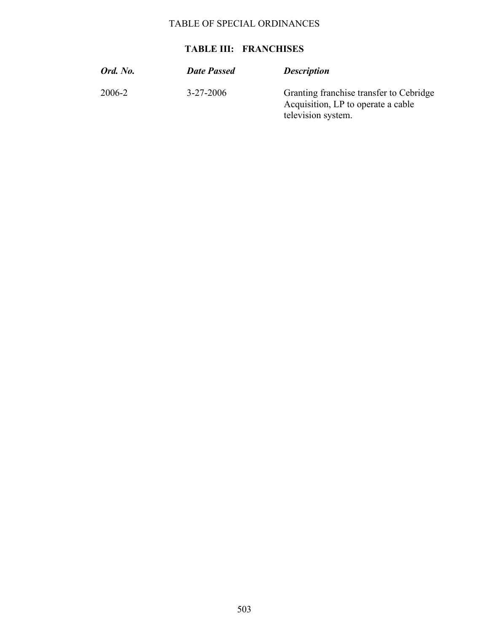#### **TABLE III: FRANCHISES**

| Ord. No. | <b>Date Passed</b> | <b>Description</b>                                                                                  |
|----------|--------------------|-----------------------------------------------------------------------------------------------------|
| 2006-2   | $3 - 27 - 2006$    | Granting franchise transfer to Cebridge<br>Acquisition, LP to operate a cable<br>television system. |